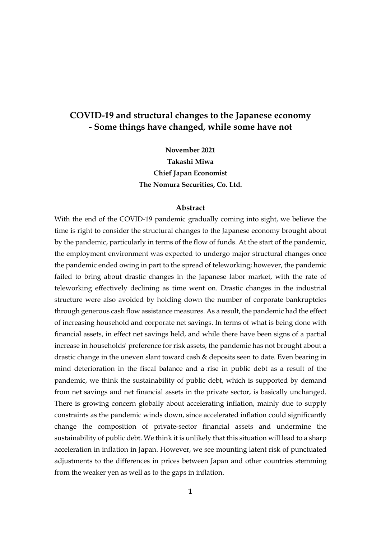# **COVID-19 and structural changes to the Japanese economy - Some things have changed, while some have not**

**November 2021 Takashi Miwa Chief Japan Economist The Nomura Securities, Co. Ltd.**

### **Abstract**

With the end of the COVID-19 pandemic gradually coming into sight, we believe the time is right to consider the structural changes to the Japanese economy brought about by the pandemic, particularly in terms of the flow of funds. At the start of the pandemic, the employment environment was expected to undergo major structural changes once the pandemic ended owing in part to the spread of teleworking; however, the pandemic failed to bring about drastic changes in the Japanese labor market, with the rate of teleworking effectively declining as time went on. Drastic changes in the industrial structure were also avoided by holding down the number of corporate bankruptcies through generous cash flow assistance measures. As a result, the pandemic had the effect of increasing household and corporate net savings. In terms of what is being done with financial assets, in effect net savings held, and while there have been signs of a partial increase in households' preference for risk assets, the pandemic has not brought about a drastic change in the uneven slant toward cash & deposits seen to date. Even bearing in mind deterioration in the fiscal balance and a rise in public debt as a result of the pandemic, we think the sustainability of public debt, which is supported by demand from net savings and net financial assets in the private sector, is basically unchanged. There is growing concern globally about accelerating inflation, mainly due to supply constraints as the pandemic winds down, since accelerated inflation could significantly change the composition of private-sector financial assets and undermine the sustainability of public debt. We think it is unlikely that this situation will lead to a sharp acceleration in inflation in Japan. However, we see mounting latent risk of punctuated adjustments to the differences in prices between Japan and other countries stemming from the weaker yen as well as to the gaps in inflation.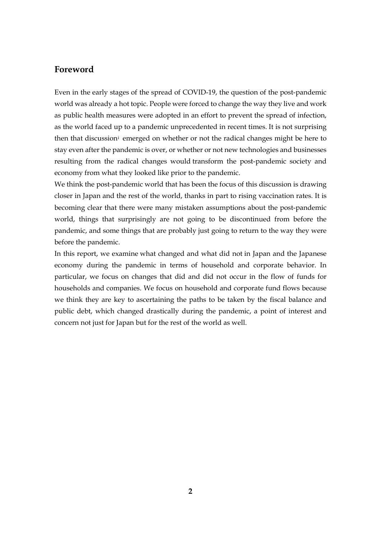## **Foreword**

<span id="page-1-1"></span><span id="page-1-0"></span>Even in the early stages of the spread of COVID-19, the question of the post-pandemic world was already a hot topic. People were forced to change the way they live and work as public health measures were adopted in an effort to prevent the spread of infection, as the world faced up to a pandemic unprecedented in recent times. It is not surprising then that discussion[i](#page-1-0) emerged on whether or not the radical changes might be here to stay even after the pandemic is over, or whether or not new technologies and businesses resulting from the radical changes would transform the post-pandemic society and economy from what they looked like prior to the pandemic.

<span id="page-1-3"></span><span id="page-1-2"></span>We think the post-pandemic world that has been the focus of this discussion is drawing closer in Japan and the rest of the world, thanks in part to rising vaccination rates. It is becoming clear that there were many mistaken assumptions about the post-pandemic world, things that surprisingly are not going to be discontinued from before the pandemic, and some things that are probably just going to return to the way they were before the pandemic.

<span id="page-1-6"></span><span id="page-1-5"></span><span id="page-1-4"></span>In this report, we examine what changed and what did not in Japan and the Japanese economy during the pandemic in terms of household and corporate behavior. In particular, we focus on changes that did and did not occur in the flow of funds for households and companies. We focus on household and corporate fund flows because we think they are key to ascertaining the paths to be taken by the fiscal balance and public debt, which changed drastically during the pandemic, a point of interest and concern not just for Japan but for the rest of the world as well.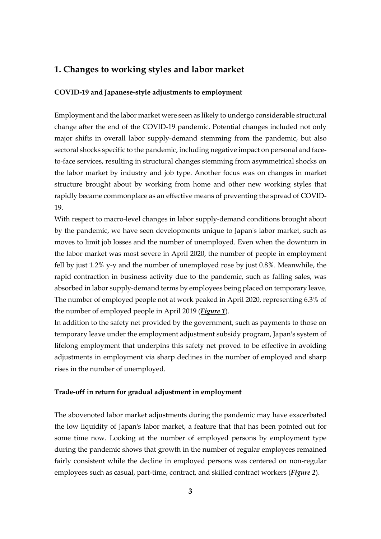## **1. Changes to working styles and labor market**

### **COVID-19 and Japanese-style adjustments to employment**

Employment and the labor market were seen as likely to undergo considerable structural change after the end of the COVID-19 pandemic. Potential changes included not only major shifts in overall labor supply-demand stemming from the pandemic, but also sectoral shocks specific to the pandemic, including negative impact on personal and faceto-face services, resulting in structural changes stemming from asymmetrical shocks on the labor market by industry and job type. Another focus was on changes in market structure brought about by working from home and other new working styles that rapidly became commonplace as an effective means of preventing the spread of COVID-19.

With respect to macro-level changes in labor supply-demand conditions brought about by the pandemic, we have seen developments unique to Japan's labor market, such as moves to limit job losses and the number of unemployed. Even when the downturn in the labor market was most severe in April 2020, the number of people in employment fell by just 1.2% y-y and the number of unemployed rose by just 0.8%. Meanwhile, the rapid contraction in business activity due to the pandemic, such as falling sales, was absorbed in labor supply-demand terms by employees being placed on temporary leave. The number of employed people not at work peaked in April 2020, representing 6.3% of the number of employed people in April 2019 (*[Figure 1](#page-19-0)*).

In addition to the safety net provided by the government, such as payments to those on temporary leave under the employment adjustment subsidy program, Japan's system of lifelong employment that underpins this safety net proved to be effective in avoiding adjustments in employment via sharp declines in the number of employed and sharp rises in the number of unemployed.

### **Trade-off in return for gradual adjustment in employment**

The abovenoted labor market adjustments during the pandemic may have exacerbated the low liquidity of Japan's labor market, a feature that that has been pointed out for some time now. Looking at the number of employed persons by employment type during the pandemic shows that growth in the number of regular employees remained fairly consistent while the decline in employed persons was centered on non-regular employees such as casual, part-time, contract, and skilled contract workers (*[Figure 2](#page-19-1)*).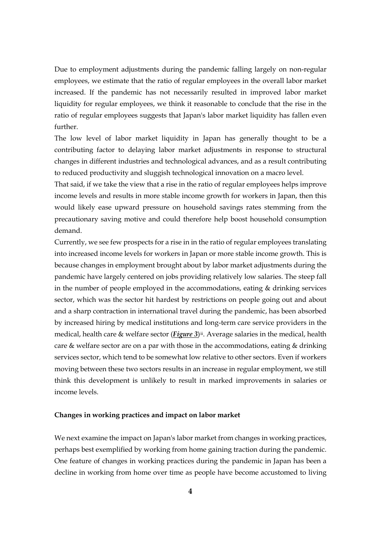Due to employment adjustments during the pandemic falling largely on non-regular employees, we estimate that the ratio of regular employees in the overall labor market increased. If the pandemic has not necessarily resulted in improved labor market liquidity for regular employees, we think it reasonable to conclude that the rise in the ratio of regular employees suggests that Japan's labor market liquidity has fallen even further.

The low level of labor market liquidity in Japan has generally thought to be a contributing factor to delaying labor market adjustments in response to structural changes in different industries and technological advances, and as a result contributing to reduced productivity and sluggish technological innovation on a macro level.

That said, if we take the view that a rise in the ratio of regular employees helps improve income levels and results in more stable income growth for workers in Japan, then this would likely ease upward pressure on household savings rates stemming from the precautionary saving motive and could therefore help boost household consumption demand.

Currently, we see few prospects for a rise in in the ratio of regular employees translating into increased income levels for workers in Japan or more stable income growth. This is because changes in employment brought about by labor market adjustments during the pandemic have largely centered on jobs providing relatively low salaries. The steep fall in the number of people employed in the accommodations, eating & drinking services sector, which was the sector hit hardest by restrictions on people going out and about and a sharp contraction in international travel during the pandemic, has been absorbed by increased hiring by medical institutions and long-term care service providers in the medical, health care & welfare sector (*[Figure 3](#page-20-0)*)<sup>[ii](#page-1-1)</sup>. Average salaries in the medical, health care & welfare sector are on a par with those in the accommodations, eating & drinking services sector, which tend to be somewhat low relative to other sectors. Even if workers moving between these two sectors results in an increase in regular employment, we still think this development is unlikely to result in marked improvements in salaries or income levels.

#### **Changes in working practices and impact on labor market**

We next examine the impact on Japan's labor market from changes in working practices, perhaps best exemplified by working from home gaining traction during the pandemic. One feature of changes in working practices during the pandemic in Japan has been a decline in working from home over time as people have become accustomed to living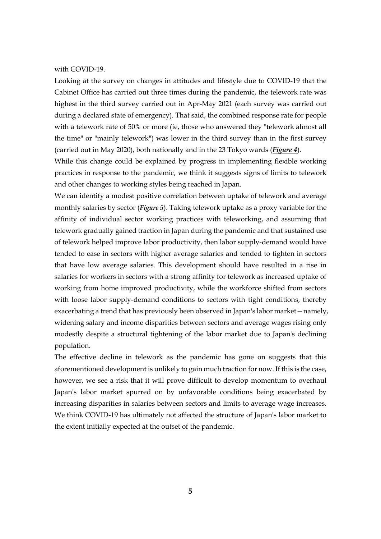with COVID-19.

Looking at the survey on changes in attitudes and lifestyle due to COVID-19 that the Cabinet Office has carried out three times during the pandemic, the telework rate was highest in the third survey carried out in Apr-May 2021 (each survey was carried out during a declared state of emergency). That said, the combined response rate for people with a telework rate of 50% or more (ie, those who answered they "telework almost all the time" or "mainly telework") was lower in the third survey than in the first survey (carried out in May 2020), both nationally and in the 23 Tokyo wards (*[Figure 4](#page-21-0)*).

While this change could be explained by progress in implementing flexible working practices in response to the pandemic, we think it suggests signs of limits to telework and other changes to working styles being reached in Japan.

We can identify a modest positive correlation between uptake of telework and average monthly salaries by sector (*[Figure 5](#page-22-0)*). Taking telework uptake as a proxy variable for the affinity of individual sector working practices with teleworking, and assuming that telework gradually gained traction in Japan during the pandemic and that sustained use of telework helped improve labor productivity, then labor supply-demand would have tended to ease in sectors with higher average salaries and tended to tighten in sectors that have low average salaries. This development should have resulted in a rise in salaries for workers in sectors with a strong affinity for telework as increased uptake of working from home improved productivity, while the workforce shifted from sectors with loose labor supply-demand conditions to sectors with tight conditions, thereby exacerbating a trend that has previously been observed in Japan's labor market—namely, widening salary and income disparities between sectors and average wages rising only modestly despite a structural tightening of the labor market due to Japan's declining population.

The effective decline in telework as the pandemic has gone on suggests that this aforementioned development is unlikely to gain much traction for now. If this is the case, however, we see a risk that it will prove difficult to develop momentum to overhaul Japan's labor market spurred on by unfavorable conditions being exacerbated by increasing disparities in salaries between sectors and limits to average wage increases. We think COVID-19 has ultimately not affected the structure of Japan's labor market to the extent initially expected at the outset of the pandemic.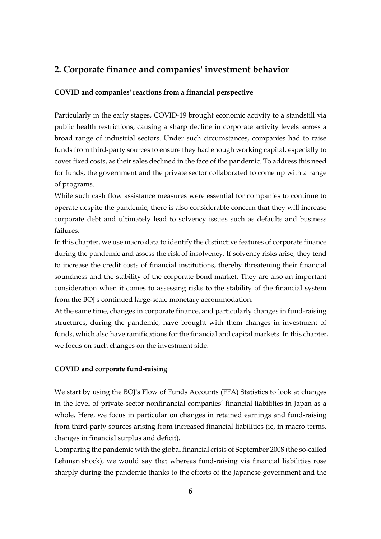## **2. Corporate finance and companies' investment behavior**

#### **COVID and companies' reactions from a financial perspective**

Particularly in the early stages, COVID-19 brought economic activity to a standstill via public health restrictions, causing a sharp decline in corporate activity levels across a broad range of industrial sectors. Under such circumstances, companies had to raise funds from third-party sources to ensure they had enough working capital, especially to cover fixed costs, as their sales declined in the face of the pandemic. To address this need for funds, the government and the private sector collaborated to come up with a range of programs.

While such cash flow assistance measures were essential for companies to continue to operate despite the pandemic, there is also considerable concern that they will increase corporate debt and ultimately lead to solvency issues such as defaults and business failures.

In this chapter, we use macro data to identify the distinctive features of corporate finance during the pandemic and assess the risk of insolvency. If solvency risks arise, they tend to increase the credit costs of financial institutions, thereby threatening their financial soundness and the stability of the corporate bond market. They are also an important consideration when it comes to assessing risks to the stability of the financial system from the BOJ's continued large-scale monetary accommodation.

At the same time, changes in corporate finance, and particularly changes in fund-raising structures, during the pandemic, have brought with them changes in investment of funds, which also have ramifications for the financial and capital markets. In this chapter, we focus on such changes on the investment side.

### **COVID and corporate fund-raising**

We start by using the BOJ's Flow of Funds Accounts (FFA) Statistics to look at changes in the level of private-sector nonfinancial companies' financial liabilities in Japan as a whole. Here, we focus in particular on changes in retained earnings and fund-raising from third-party sources arising from increased financial liabilities (ie, in macro terms, changes in financial surplus and deficit).

Comparing the pandemic with the global financial crisis of September 2008 (the so-called Lehman shock), we would say that whereas fund-raising via financial liabilities rose sharply during the pandemic thanks to the efforts of the Japanese government and the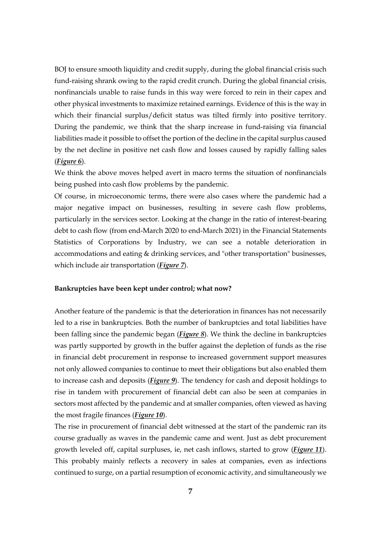BOJ to ensure smooth liquidity and credit supply, during the global financial crisis such fund-raising shrank owing to the rapid credit crunch. During the global financial crisis, nonfinancials unable to raise funds in this way were forced to rein in their capex and other physical investments to maximize retained earnings. Evidence of this is the way in which their financial surplus/deficit status was tilted firmly into positive territory. During the pandemic, we think that the sharp increase in fund-raising via financial liabilities made it possible to offset the portion of the decline in the capital surplus caused by the net decline in positive net cash flow and losses caused by rapidly falling sales (*[Figure 6](#page-23-0)*).

We think the above moves helped avert in macro terms the situation of nonfinancials being pushed into cash flow problems by the pandemic.

Of course, in microeconomic terms, there were also cases where the pandemic had a major negative impact on businesses, resulting in severe cash flow problems, particularly in the services sector. Looking at the change in the ratio of interest-bearing debt to cash flow (from end-March 2020 to end-March 2021) in the Financial Statements Statistics of Corporations by Industry, we can see a notable deterioration in accommodations and eating & drinking services, and "other transportation" businesses, which include air transportation (*[Figure 7](#page-23-1)*).

#### **Bankruptcies have been kept under control; what now?**

Another feature of the pandemic is that the deterioration in finances has not necessarily led to a rise in bankruptcies. Both the number of bankruptcies and total liabilities have been falling since the pandemic began (*[Figure 8](#page-24-0)*). We think the decline in bankruptcies was partly supported by growth in the buffer against the depletion of funds as the rise in financial debt procurement in response to increased government support measures not only allowed companies to continue to meet their obligations but also enabled them to increase cash and deposits (*[Figure 9](#page-24-1)*). The tendency for cash and deposit holdings to rise in tandem with procurement of financial debt can also be seen at companies in sectors most affected by the pandemic and at smaller companies, often viewed as having the most fragile finances (*[Figure 10](#page-25-0)*).

The rise in procurement of financial debt witnessed at the start of the pandemic ran its course gradually as waves in the pandemic came and went. Just as debt procurement growth leveled off, capital surpluses, ie, net cash inflows, started to grow (*[Figure 11](#page-25-1)*). This probably mainly reflects a recovery in sales at companies, even as infections continued to surge, on a partial resumption of economic activity, and simultaneously we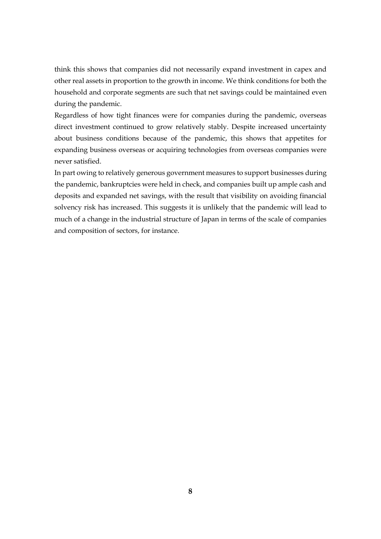think this shows that companies did not necessarily expand investment in capex and other real assets in proportion to the growth in income. We think conditions for both the household and corporate segments are such that net savings could be maintained even during the pandemic.

Regardless of how tight finances were for companies during the pandemic, overseas direct investment continued to grow relatively stably. Despite increased uncertainty about business conditions because of the pandemic, this shows that appetites for expanding business overseas or acquiring technologies from overseas companies were never satisfied.

In part owing to relatively generous government measures to support businesses during the pandemic, bankruptcies were held in check, and companies built up ample cash and deposits and expanded net savings, with the result that visibility on avoiding financial solvency risk has increased. This suggests it is unlikely that the pandemic will lead to much of a change in the industrial structure of Japan in terms of the scale of companies and composition of sectors, for instance.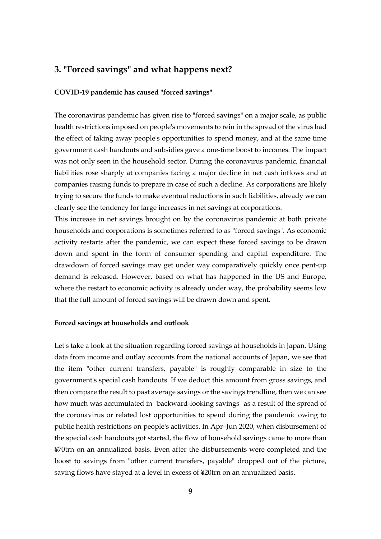## **3. "Forced savings" and what happens next?**

### **COVID-19 pandemic has caused "forced savings"**

The coronavirus pandemic has given rise to "forced savings" on a major scale, as public health restrictions imposed on people's movements to rein in the spread of the virus had the effect of taking away people's opportunities to spend money, and at the same time government cash handouts and subsidies gave a one-time boost to incomes. The impact was not only seen in the household sector. During the coronavirus pandemic, financial liabilities rose sharply at companies facing a major decline in net cash inflows and at companies raising funds to prepare in case of such a decline. As corporations are likely trying to secure the funds to make eventual reductions in such liabilities, already we can clearly see the tendency for large increases in net savings at corporations.

This increase in net savings brought on by the coronavirus pandemic at both private households and corporations is sometimes referred to as "forced savings". As economic activity restarts after the pandemic, we can expect these forced savings to be drawn down and spent in the form of consumer spending and capital expenditure. The drawdown of forced savings may get under way comparatively quickly once pent-up demand is released. However, based on what has happened in the US and Europe, where the restart to economic activity is already under way, the probability seems low that the full amount of forced savings will be drawn down and spent.

#### **Forced savings at households and outlook**

Let's take a look at the situation regarding forced savings at households in Japan. Using data from income and outlay accounts from the national accounts of Japan, we see that the item "other current transfers, payable" is roughly comparable in size to the government's special cash handouts. If we deduct this amount from gross savings, and then compare the result to past average savings or the savings trendline, then we can see how much was accumulated in "backward-looking savings" as a result of the spread of the coronavirus or related lost opportunities to spend during the pandemic owing to public health restrictions on people's activities. In Apr–Jun 2020, when disbursement of the special cash handouts got started, the flow of household savings came to more than ¥70trn on an annualized basis. Even after the disbursements were completed and the boost to savings from "other current transfers, payable" dropped out of the picture, saving flows have stayed at a level in excess of ¥20trn on an annualized basis.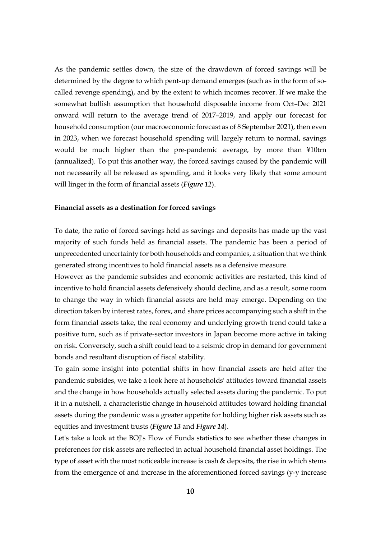As the pandemic settles down, the size of the drawdown of forced savings will be determined by the degree to which pent-up demand emerges (such as in the form of socalled revenge spending), and by the extent to which incomes recover. If we make the somewhat bullish assumption that household disposable income from Oct–Dec 2021 onward will return to the average trend of 2017–2019, and apply our forecast for household consumption (our macroeconomic forecast as of 8 September 2021), then even in 2023, when we forecast household spending will largely return to normal, savings would be much higher than the pre-pandemic average, by more than ¥10trn (annualized). To put this another way, the forced savings caused by the pandemic will not necessarily all be released as spending, and it looks very likely that some amount will linger in the form of financial assets (*[Figure 12](#page-26-0)*).

#### **Financial assets as a destination for forced savings**

To date, the ratio of forced savings held as savings and deposits has made up the vast majority of such funds held as financial assets. The pandemic has been a period of unprecedented uncertainty for both households and companies, a situation that we think generated strong incentives to hold financial assets as a defensive measure.

However as the pandemic subsides and economic activities are restarted, this kind of incentive to hold financial assets defensively should decline, and as a result, some room to change the way in which financial assets are held may emerge. Depending on the direction taken by interest rates, forex, and share prices accompanying such a shift in the form financial assets take, the real economy and underlying growth trend could take a positive turn, such as if private-sector investors in Japan become more active in taking on risk. Conversely, such a shift could lead to a seismic drop in demand for government bonds and resultant disruption of fiscal stability.

To gain some insight into potential shifts in how financial assets are held after the pandemic subsides, we take a look here at households' attitudes toward financial assets and the change in how households actually selected assets during the pandemic. To put it in a nutshell, a characteristic change in household attitudes toward holding financial assets during the pandemic was a greater appetite for holding higher risk assets such as equities and investment trusts (*[Figure 13](#page-26-1)* and *[Figure 14](#page-27-0)*).

Let's take a look at the BOJ's Flow of Funds statistics to see whether these changes in preferences for risk assets are reflected in actual household financial asset holdings. The type of asset with the most noticeable increase is cash & deposits, the rise in which stems from the emergence of and increase in the aforementioned forced savings (y-y increase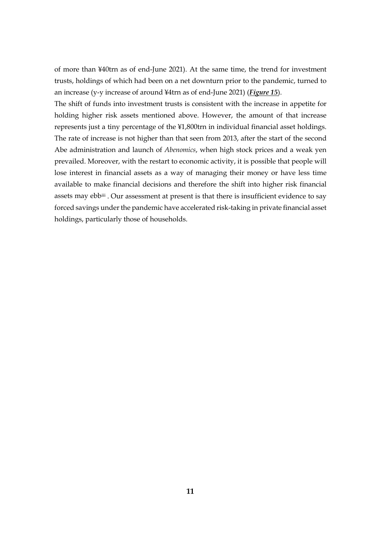of more than ¥40trn as of end-June 2021). At the same time, the trend for investment trusts, holdings of which had been on a net downturn prior to the pandemic, turned to an increase (y-y increase of around ¥4trn as of end-June 2021) (*[Figure 15](#page-27-1)*).

The shift of funds into investment trusts is consistent with the increase in appetite for holding higher risk assets mentioned above. However, the amount of that increase represents just a tiny percentage of the ¥1,800trn in individual financial asset holdings. The rate of increase is not higher than that seen from 2013, after the start of the second Abe administration and launch of *Abenomics*, when high stock prices and a weak yen prevailed. Moreover, with the restart to economic activity, it is possible that people will lose interest in financial assets as a way of managing their money or have less time available to make financial decisions and therefore the shift into higher risk financial assets may ebb[iii](#page-1-2). Our assessment at present is that there is insufficient evidence to say forced savings under the pandemic have accelerated risk-taking in private financial asset holdings, particularly those of households.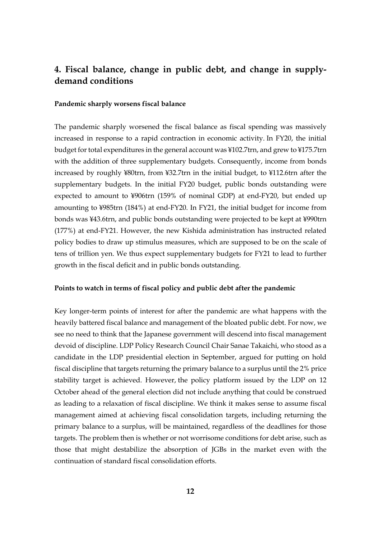# **4. Fiscal balance, change in public debt, and change in supplydemand conditions**

#### **Pandemic sharply worsens fiscal balance**

The pandemic sharply worsened the fiscal balance as fiscal spending was massively increased in response to a rapid contraction in economic activity. In FY20, the initial budget for total expenditures in the general account was ¥102.7trn, and grew to ¥175.7trn with the addition of three supplementary budgets. Consequently, income from bonds increased by roughly ¥80trn, from ¥32.7trn in the initial budget, to ¥112.6trn after the supplementary budgets. In the initial FY20 budget, public bonds outstanding were expected to amount to ¥906trn (159% of nominal GDP) at end-FY20, but ended up amounting to ¥985trn (184%) at end-FY20. In FY21, the initial budget for income from bonds was ¥43.6trn, and public bonds outstanding were projected to be kept at ¥990trn (177%) at end-FY21. However, the new Kishida administration has instructed related policy bodies to draw up stimulus measures, which are supposed to be on the scale of tens of trillion yen. We thus expect supplementary budgets for FY21 to lead to further growth in the fiscal deficit and in public bonds outstanding.

#### **Points to watch in terms of fiscal policy and public debt after the pandemic**

Key longer-term points of interest for after the pandemic are what happens with the heavily battered fiscal balance and management of the bloated public debt. For now, we see no need to think that the Japanese government will descend into fiscal management devoid of discipline. LDP Policy Research Council Chair Sanae Takaichi, who stood as a candidate in the LDP presidential election in September, argued for putting on hold fiscal discipline that targets returning the primary balance to a surplus until the 2% price stability target is achieved. However, the policy platform issued by the LDP on 12 October ahead of the general election did not include anything that could be construed as leading to a relaxation of fiscal discipline. We think it makes sense to assume fiscal management aimed at achieving fiscal consolidation targets, including returning the primary balance to a surplus, will be maintained, regardless of the deadlines for those targets. The problem then is whether or not worrisome conditions for debt arise, such as those that might destabilize the absorption of JGBs in the market even with the continuation of standard fiscal consolidation efforts.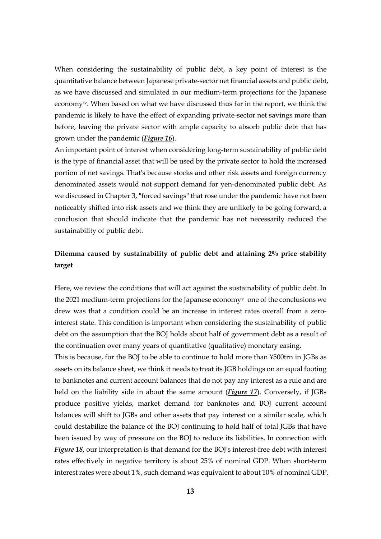When considering the sustainability of public debt, a key point of interest is the quantitative balance between Japanese private-sector net financial assets and public debt, as we have discussed and simulated in our medium-term projections for the Japanese economy[iv.](#page-1-3) When based on what we have discussed thus far in the report, we think the pandemic is likely to have the effect of expanding private-sector net savings more than before, leaving the private sector with ample capacity to absorb public debt that has grown under the pandemic (*[Figure 16](#page-28-0)*).

An important point of interest when considering long-term sustainability of public debt is the type of financial asset that will be used by the private sector to hold the increased portion of net savings. That's because stocks and other risk assets and foreign currency denominated assets would not support demand for yen-denominated public debt. As we discussed in Chapter 3, "forced savings" that rose under the pandemic have not been noticeably shifted into risk assets and we think they are unlikely to be going forward, a conclusion that should indicate that the pandemic has not necessarily reduced the sustainability of public debt.

## **Dilemma caused by sustainability of public debt and attaining 2% price stability target**

Here, we review the conditions that will act against the sustainability of public debt. In the 2021 medium-term projections for the Japanese economy<sup> $\mathbf v$ </sup> one of the conclusions we drew was that a condition could be an increase in interest rates overall from a zerointerest state. This condition is important when considering the sustainability of public debt on the assumption that the BOJ holds about half of government debt as a result of the continuation over many years of quantitative (qualitative) monetary easing.

This is because, for the BOJ to be able to continue to hold more than ¥500trn in JGBs as assets on its balance sheet, we think it needs to treat its JGB holdings on an equal footing to banknotes and current account balances that do not pay any interest as a rule and are held on the liability side in about the same amount (*[Figure 17](#page-28-1)*). Conversely, if JGBs produce positive yields, market demand for banknotes and BOJ current account balances will shift to JGBs and other assets that pay interest on a similar scale, which could destabilize the balance of the BOJ continuing to hold half of total JGBs that have been issued by way of pressure on the BOJ to reduce its liabilities. In connection with *[Figure 18](#page-29-0)*, our interpretation is that demand for the BOJ's interest-free debt with interest rates effectively in negative territory is about 25% of nominal GDP. When short-term interest rates were about 1%, such demand was equivalent to about 10% of nominal GDP.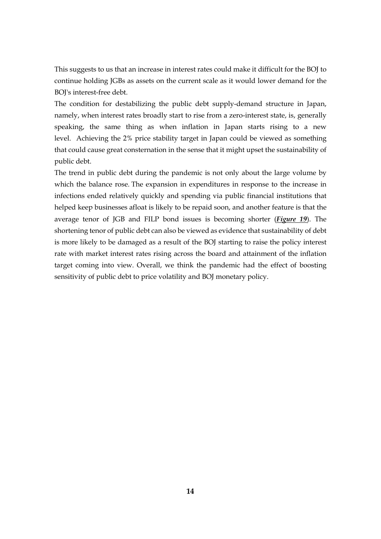This suggests to us that an increase in interest rates could make it difficult for the BOJ to continue holding JGBs as assets on the current scale as it would lower demand for the BOJ's interest-free debt.

The condition for destabilizing the public debt supply-demand structure in Japan, namely, when interest rates broadly start to rise from a zero-interest state, is, generally speaking, the same thing as when inflation in Japan starts rising to a new level. Achieving the 2% price stability target in Japan could be viewed as something that could cause great consternation in the sense that it might upset the sustainability of public debt.

The trend in public debt during the pandemic is not only about the large volume by which the balance rose. The expansion in expenditures in response to the increase in infections ended relatively quickly and spending via public financial institutions that helped keep businesses afloat is likely to be repaid soon, and another feature is that the average tenor of JGB and FILP bond issues is becoming shorter (*[Figure 19](#page-29-1)*). The shortening tenor of public debt can also be viewed as evidence that sustainability of debt is more likely to be damaged as a result of the BOJ starting to raise the policy interest rate with market interest rates rising across the board and attainment of the inflation target coming into view. Overall, we think the pandemic had the effect of boosting sensitivity of public debt to price volatility and BOJ monetary policy.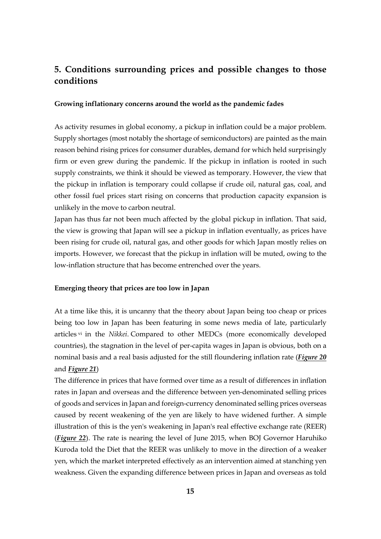# **5. Conditions surrounding prices and possible changes to those conditions**

#### **Growing inflationary concerns around the world as the pandemic fades**

As activity resumes in global economy, a pickup in inflation could be a major problem. Supply shortages (most notably the shortage of semiconductors) are painted as the main reason behind rising prices for consumer durables, demand for which held surprisingly firm or even grew during the pandemic. If the pickup in inflation is rooted in such supply constraints, we think it should be viewed as temporary. However, the view that the pickup in inflation is temporary could collapse if crude oil, natural gas, coal, and other fossil fuel prices start rising on concerns that production capacity expansion is unlikely in the move to carbon neutral.

Japan has thus far not been much affected by the global pickup in inflation. That said, the view is growing that Japan will see a pickup in inflation eventually, as prices have been rising for crude oil, natural gas, and other goods for which Japan mostly relies on imports. However, we forecast that the pickup in inflation will be muted, owing to the low-inflation structure that has become entrenched over the years.

### **Emerging theory that prices are too low in Japan**

At a time like this, it is uncanny that the theory about Japan being too cheap or prices being too low in Japan has been featuring in some news media of late, particularly articles [vi](#page-1-5) in the *Nikkei*. Compared to other MEDCs (more economically developed countries), the stagnation in the level of per-capita wages in Japan is obvious, both on a nominal basis and a real basis adjusted for the still floundering inflation rate (*[Figure 20](#page-30-0)* and *[Figure 21](#page-30-1)*)

The difference in prices that have formed over time as a result of differences in inflation rates in Japan and overseas and the difference between yen-denominated selling prices of goods and services in Japan and foreign-currency denominated selling prices overseas caused by recent weakening of the yen are likely to have widened further. A simple illustration of this is the yen's weakening in Japan's real effective exchange rate (REER) (*[Figure 22](#page-31-0)*). The rate is nearing the level of June 2015, when BOJ Governor Haruhiko Kuroda told the Diet that the REER was unlikely to move in the direction of a weaker yen, which the market interpreted effectively as an intervention aimed at stanching yen weakness. Given the expanding difference between prices in Japan and overseas as told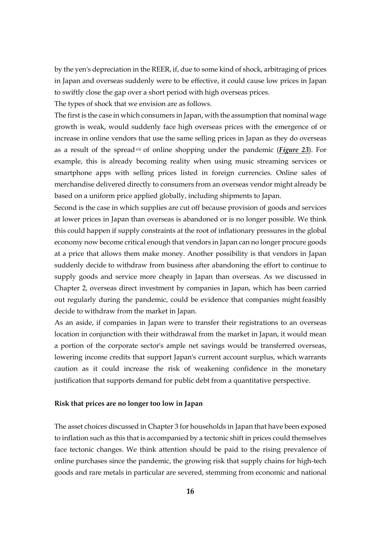by the yen's depreciation in the REER, if, due to some kind of shock, arbitraging of prices in Japan and overseas suddenly were to be effective, it could cause low prices in Japan to swiftly close the gap over a short period with high overseas prices.

The types of shock that we envision are as follows.

The first is the case in which consumers in Japan, with the assumption that nominal wage growth is weak, would suddenly face high overseas prices with the emergence of or increase in online vendors that use the same selling prices in Japan as they do overseas as a result of the spread[vii](#page-1-6) of online shopping under the pandemic (*[Figure 23](#page-31-1)*). For example, this is already becoming reality when using music streaming services or smartphone apps with selling prices listed in foreign currencies. Online sales of merchandise delivered directly to consumers from an overseas vendor might already be based on a uniform price applied globally, including shipments to Japan.

Second is the case in which supplies are cut off because provision of goods and services at lower prices in Japan than overseas is abandoned or is no longer possible. We think this could happen if supply constraints at the root of inflationary pressures in the global economy now become critical enough that vendors in Japan can no longer procure goods at a price that allows them make money. Another possibility is that vendors in Japan suddenly decide to withdraw from business after abandoning the effort to continue to supply goods and service more cheaply in Japan than overseas. As we discussed in Chapter 2, overseas direct investment by companies in Japan, which has been carried out regularly during the pandemic, could be evidence that companies might feasibly decide to withdraw from the market in Japan.

As an aside, if companies in Japan were to transfer their registrations to an overseas location in conjunction with their withdrawal from the market in Japan, it would mean a portion of the corporate sector's ample net savings would be transferred overseas, lowering income credits that support Japan's current account surplus, which warrants caution as it could increase the risk of weakening confidence in the monetary justification that supports demand for public debt from a quantitative perspective.

#### **Risk that prices are no longer too low in Japan**

The asset choices discussed in Chapter 3 for households in Japan that have been exposed to inflation such as this that is accompanied by a tectonic shift in prices could themselves face tectonic changes. We think attention should be paid to the rising prevalence of online purchases since the pandemic, the growing risk that supply chains for high-tech goods and rare metals in particular are severed, stemming from economic and national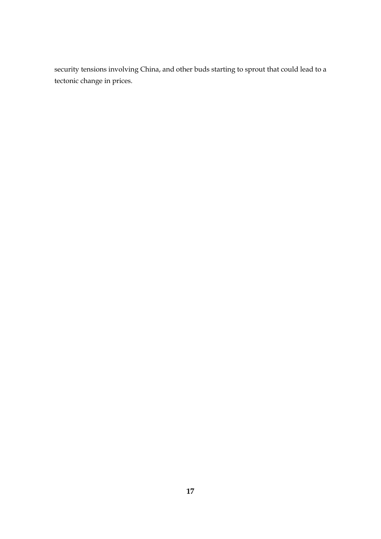security tensions involving China, and other buds starting to sprout that could lead to a tectonic change in prices.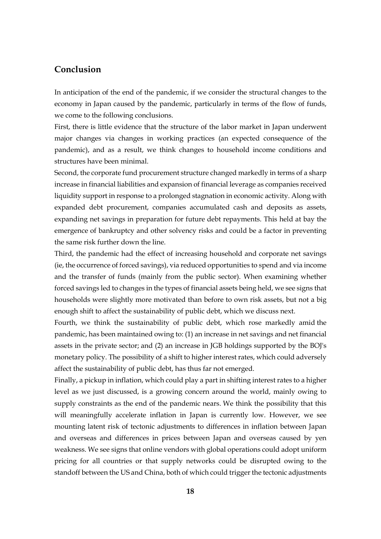## **Conclusion**

In anticipation of the end of the pandemic, if we consider the structural changes to the economy in Japan caused by the pandemic, particularly in terms of the flow of funds, we come to the following conclusions.

First, there is little evidence that the structure of the labor market in Japan underwent major changes via changes in working practices (an expected consequence of the pandemic), and as a result, we think changes to household income conditions and structures have been minimal.

Second, the corporate fund procurement structure changed markedly in terms of a sharp increase in financial liabilities and expansion of financial leverage as companies received liquidity support in response to a prolonged stagnation in economic activity. Along with expanded debt procurement, companies accumulated cash and deposits as assets, expanding net savings in preparation for future debt repayments. This held at bay the emergence of bankruptcy and other solvency risks and could be a factor in preventing the same risk further down the line.

Third, the pandemic had the effect of increasing household and corporate net savings (ie, the occurrence of forced savings), via reduced opportunities to spend and via income and the transfer of funds (mainly from the public sector). When examining whether forced savings led to changes in the types of financial assets being held, we see signs that households were slightly more motivated than before to own risk assets, but not a big enough shift to affect the sustainability of public debt, which we discuss next.

Fourth, we think the sustainability of public debt, which rose markedly amid the pandemic, has been maintained owing to: (1) an increase in net savings and net financial assets in the private sector; and (2) an increase in JGB holdings supported by the BOJ's monetary policy. The possibility of a shift to higher interest rates, which could adversely affect the sustainability of public debt, has thus far not emerged.

Finally, a pickup in inflation, which could play a part in shifting interest rates to a higher level as we just discussed, is a growing concern around the world, mainly owing to supply constraints as the end of the pandemic nears. We think the possibility that this will meaningfully accelerate inflation in Japan is currently low. However, we see mounting latent risk of tectonic adjustments to differences in inflation between Japan and overseas and differences in prices between Japan and overseas caused by yen weakness. We see signs that online vendors with global operations could adopt uniform pricing for all countries or that supply networks could be disrupted owing to the standoff between the US and China, both of which could trigger the tectonic adjustments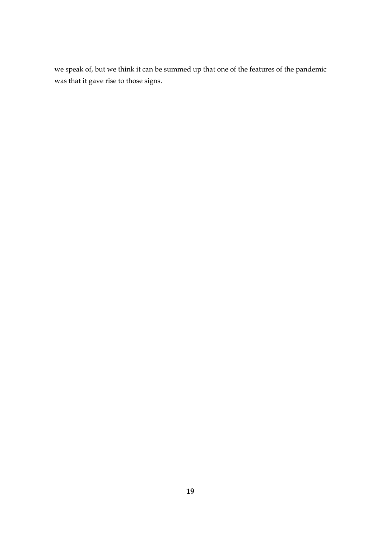we speak of, but we think it can be summed up that one of the features of the pandemic was that it gave rise to those signs.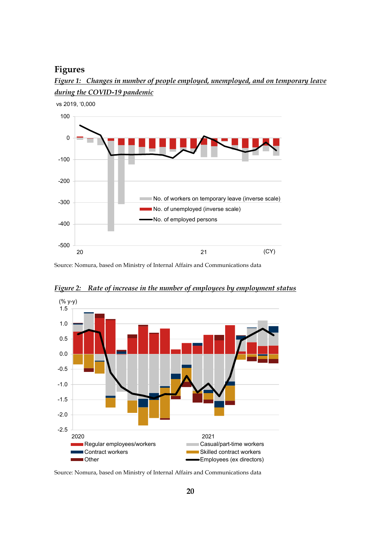## **Figures**



<span id="page-19-0"></span>*Figure 1: Changes in number of people employed, unemployed, and on temporary leave during the COVID-19 pandemic*

Source: Nomura, based on Ministry of Internal Affairs and Communications data



<span id="page-19-1"></span>*Figure 2: Rate of increase in the number of employees by employment status*

Source: Nomura, based on Ministry of Internal Affairs and Communications data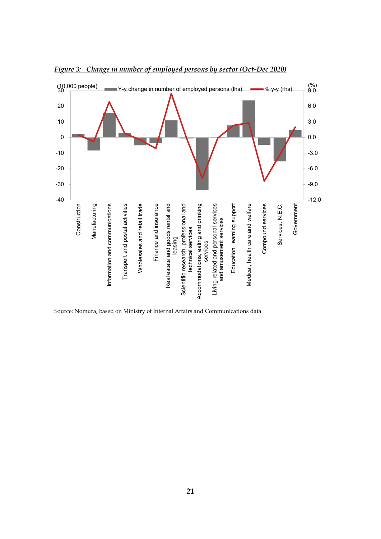

<span id="page-20-0"></span>*Figure 3: Change in number of employed persons by sector (Oct-Dec 2020)*

Source: Nomura, based on Ministry of Internal Affairs and Communications data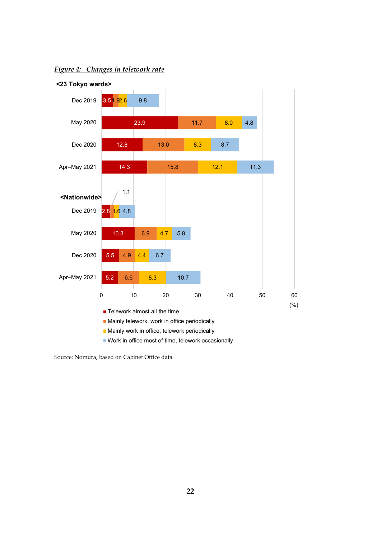

### <span id="page-21-0"></span>*Figure 4: Changes in telework rate*

Source: Nomura, based on Cabinet Office data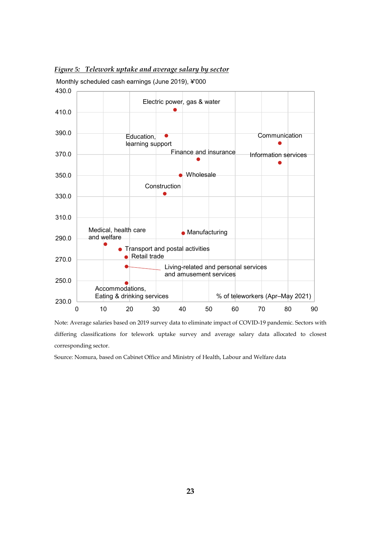

<span id="page-22-0"></span>*Figure 5: Telework uptake and average salary by sector*

Note: Average salaries based on 2019 survey data to eliminate impact of COVID-19 pandemic. Sectors with differing classifications for telework uptake survey and average salary data allocated to closest corresponding sector.

Source: Nomura, based on Cabinet Office and Ministry of Health, Labour and Welfare data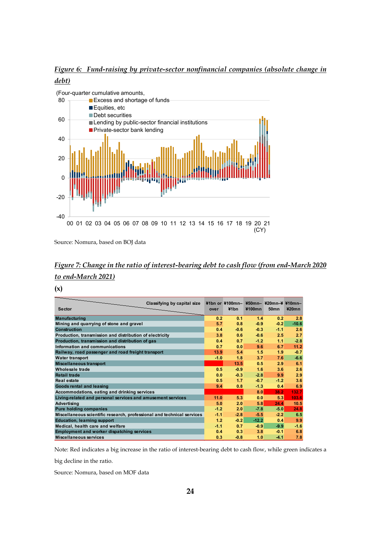<span id="page-23-0"></span>*Figure 6: Fund-raising by private-sector nonfinancial companies (absolute change in debt)*



Source: Nomura, based on BOJ data

# <span id="page-23-1"></span>*Figure 7: Change in the ratio of interest-bearing debt to cash flow (from end-March 2020 to end-March 2021)*

**(x)**

| Classifying by capital size<br><b>Sector</b>                           | over   | $41bn$ or $4100mn$ -<br>¥1 <sub>bn</sub> | ¥100mn  | ¥50mn- ¥20mn-¥ ¥10mn-<br><b>50mn</b> | $420$ mn |
|------------------------------------------------------------------------|--------|------------------------------------------|---------|--------------------------------------|----------|
| <b>Manufacturing</b>                                                   | 0.2    | 0.1                                      | 1.4     | 0.2                                  | 2.8      |
| Mining and quarrying of stone and gravel                               | 5.7    | 0.8                                      | $-0.9$  | $-0.2$                               | $-10.6$  |
| <b>Construction</b>                                                    | 0.4    | $-0.6$                                   | $-0.3$  | $-1.1$                               | 2.6      |
| Production, transmission and distribution of electricity               | 3.8    | 0.6                                      | $-0.6$  | 2.5                                  | 2.7      |
| Production, transmission and distribution of gas                       | 0.4    | 0.7                                      | $-1.2$  | 1.1                                  | $-2.8$   |
| Information and communications                                         | 0.7    | 0.0                                      | 9.6     | 6.7                                  | 11.2     |
| Railway, road passenger and road freight transport                     | 13.9   | 5.4                                      | 1.5     | 1.9                                  | $-0.7$   |
| <b>Water transport</b>                                                 | $-1.0$ | 1.8                                      | 3.7     | 7.6                                  | $-6.6$   |
| <b>Miscellaneous transport</b>                                         |        | 13.5                                     | 0.5     | 2.9                                  | 6.1      |
| Wholesale trade                                                        | 0.5    | $-0.9$                                   | 1.6     | 3.6                                  | 2.6      |
| <b>Retail trade</b>                                                    | 0.0    | $-0.3$                                   | $-2.8$  | 9.9                                  | 2.9      |
| Real estate                                                            | 0.5    | 1.7                                      | $-0.7$  | $-1.2$                               | 3.6      |
| Goods rental and leasing                                               | 9.4    | 0.8                                      | $-1.3$  | 0.4                                  | 6.9      |
| Accommodations, eating and drinking services                           |        |                                          | 8.0     | 38.2                                 | 132.7    |
| Living-related and personal services and amusement services            | 11.0   | 5.3                                      | 0.0     | 5.3                                  | 103.6    |
| <b>Advertising</b>                                                     | 5.0    | 2.0                                      | 5.8     | 24.4                                 | 10.5     |
| <b>Pure holding companies</b>                                          | $-1.2$ | 2.0                                      | $-7.8$  | $-5.0$                               | 24.8     |
| Miscellaneous scientific research, professional and technical services | $-1.1$ | $-2.8$                                   | $-5.5$  | $-2.2$                               | 6.5      |
| <b>Education, learning support</b>                                     | 1.2    | $-0.2$                                   | $-12.2$ | 0.4                                  | 9.9      |
| Medical, health care and welfare                                       | $-1.1$ | 0.7                                      | $-0.9$  | $-9.9$                               | $-1.6$   |
| <b>Employment and worker dispatching services</b>                      | 0.4    | 0.3                                      | 3.8     | $-0.1$                               | 6.8      |
| Miscellaneous services                                                 | 0.3    | $-0.8$                                   | 1.0     | $-4.1$                               | 7.8      |

Note: Red indicates a big increase in the ratio of interest-bearing debt to cash flow, while green indicates a

big decline in the ratio.

Source: Nomura, based on MOF data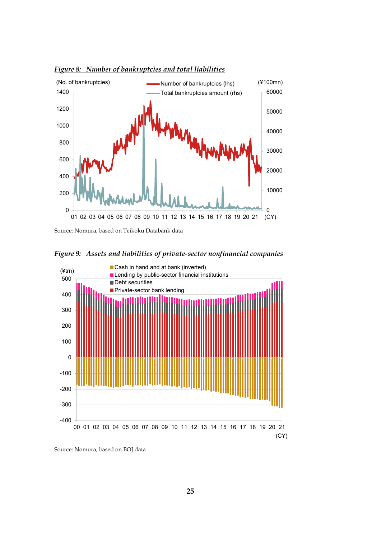

<span id="page-24-0"></span>*Figure 8: Number of bankruptcies and total liabilities*

Source: Nomura, based on Teikoku Databank data



<span id="page-24-1"></span>*Figure 9: Assets and liabilities of private-sector nonfinancial companies*

Source: Nomura, based on BOJ data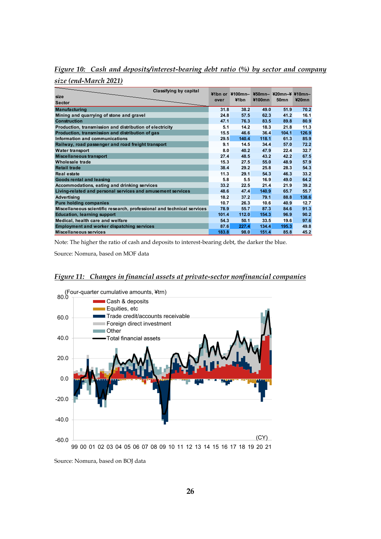<span id="page-25-0"></span>*Figure 10: Cash and deposits/interest-bearing debt ratio (%) by sector and company* 

*size (end-March 2021)*

| Classifying by capital                                                 |       | $41bn$ or $4100mn -$ |        | $450$ mn- $420$ mn- $4410$ mn- |          |
|------------------------------------------------------------------------|-------|----------------------|--------|--------------------------------|----------|
| size                                                                   | over  | ¥1bn                 | ¥100mn | <b>50mn</b>                    | $420$ mn |
| <b>Sector</b>                                                          |       |                      |        |                                |          |
| <b>Manufacturing</b>                                                   | 31.8  | 38.2                 | 49.0   | 51.9                           | 70.2     |
| Mining and quarrying of stone and gravel                               | 24.8  | 57.5                 | 62.3   | 41.2                           | 16.1     |
| <b>Construction</b>                                                    | 47.1  | 76.3                 | 83.5   | 89.8                           | 80.9     |
| Production, transmission and distribution of electricity               | 5.1   | 14.2                 | 18.3   | 21.8                           | 11.3     |
| Production, transmission and distribution of gas                       | 15.5  | 46.6                 | 36.4   | 104.1                          | 126.9    |
| Information and communications                                         | 29.5  | 140.4                | 118.1  | 61.3                           | 85.9     |
| Railway, road passenger and road freight transport                     | 9.1   | 14.5                 | 34.4   | 57.0                           | 72.2     |
| <b>Water transport</b>                                                 | 8.0   | 40.2                 | 47.9   | 22.4                           | 32.7     |
| <b>Miscellaneous transport</b>                                         | 27.4  | 48.5                 | 43.2   | 42.2                           | 67.5     |
| Wholesale trade                                                        | 15.3  | 27.5                 | 55.0   | 48.9                           | 57.9     |
| <b>Retail trade</b>                                                    | 38.4  | 29.2                 | 25.8   | 28.3                           | 54.3     |
| <b>Real estate</b>                                                     | 11.3  | 29.1                 | 54.3   | 46.3                           | 33.2     |
| Goods rental and leasing                                               | 5.8   | 5.5                  | 16.9   | 49.0                           | 64.2     |
| Accommodations, eating and drinking services                           | 33.2  | 22.5                 | 21.4   | 21.9                           | 39.2     |
| Living-related and personal services and amusement services            | 48.6  | 47.4                 | 140.9  | 65.7                           | 55.7     |
| <b>Advertising</b>                                                     | 18.2  | 37.2                 | 79.1   | 88.8                           | 138.6    |
| <b>Pure holding companies</b>                                          | 10.7  | 26.3                 | 10.6   | 40.9                           | 12.7     |
| Miscellaneous scientific research, professional and technical services | 78.9  | 55.7                 | 87.3   | 84.6                           | 91.3     |
| <b>Education, learning support</b>                                     | 101.4 | 112.0                | 154.3  | 96.9                           | 90.2     |
| Medical, health care and welfare                                       | 54.3  | 50.1                 | 33.5   | 19.6                           | 97.6     |
| <b>Employment and worker dispatching services</b>                      | 87.6  | 227.4                | 134.4  | 195.3                          | 49.8     |
| Miscellaneous services                                                 | 183.8 | 98.0                 | 151.4  | 85.8                           | 45.2     |

Note: The higher the ratio of cash and deposits to interest-bearing debt, the darker the blue.

Source: Nomura, based on MOF data

<span id="page-25-1"></span>*Figure 11: Changes in financial assets at private-sector nonfinancial companies*



Source: Nomura, based on BOJ data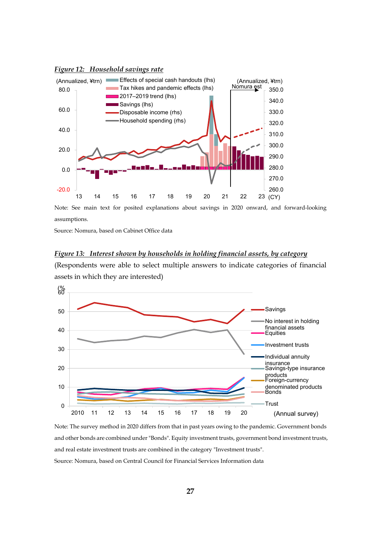<span id="page-26-0"></span>



Note: See main text for posited explanations about savings in 2020 onward, and forward-looking assumptions.

Source: Nomura, based on Cabinet Office data

### <span id="page-26-1"></span>*Figure 13: Interest shown by households in holding financial assets, by category*

(Respondents were able to select multiple answers to indicate categories of financial assets in which they are interested)



Note: The survey method in 2020 differs from that in past years owing to the pandemic. Government bonds and other bonds are combined under "Bonds". Equity investment trusts, government bond investment trusts, and real estate investment trusts are combined in the category "Investment trusts". Source: Nomura, based on Central Council for Financial Services Information data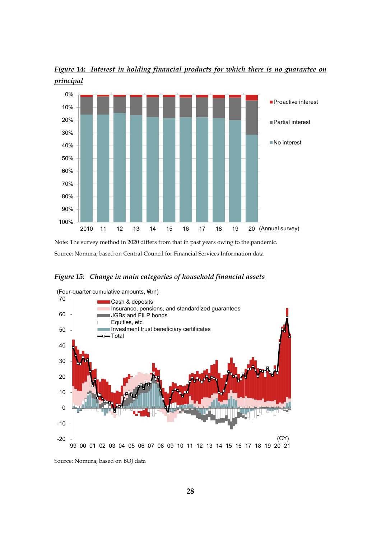

<span id="page-27-0"></span>*Figure 14: Interest in holding financial products for which there is no guarantee on principal*

Note: The survey method in 2020 differs from that in past years owing to the pandemic. Source: Nomura, based on Central Council for Financial Services Information data

### <span id="page-27-1"></span>*Figure 15: Change in main categories of household financial assets*



Source: Nomura, based on BOJ data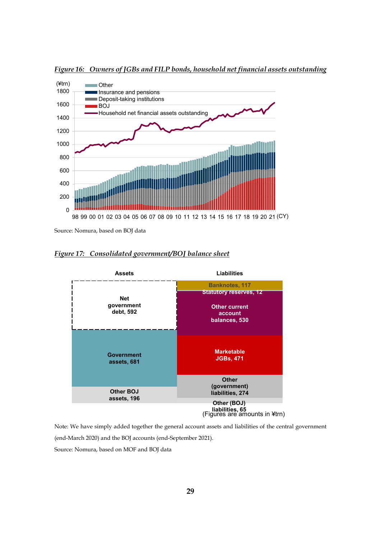<span id="page-28-0"></span>*Figure 16: Owners of JGBs and FILP bonds, household net financial assets outstanding*



Source: Nomura, based on BOJ data

<span id="page-28-1"></span>



Note: We have simply added together the general account assets and liabilities of the central government (end-March 2020) and the BOJ accounts (end-September 2021).

Source: Nomura, based on MOF and BOJ data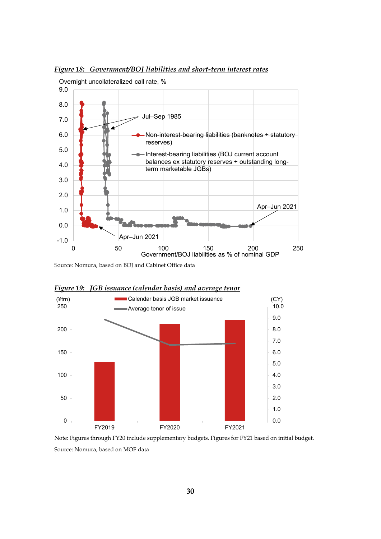

<span id="page-29-0"></span>*Figure 18: Government/BOJ liabilities and short-term interest rates*

Source: Nomura, based on BOJ and Cabinet Office data



<span id="page-29-1"></span>*Figure 19: JGB issuance (calendar basis) and average tenor*

Note: Figures through FY20 include supplementary budgets. Figures for FY21 based on initial budget. Source: Nomura, based on MOF data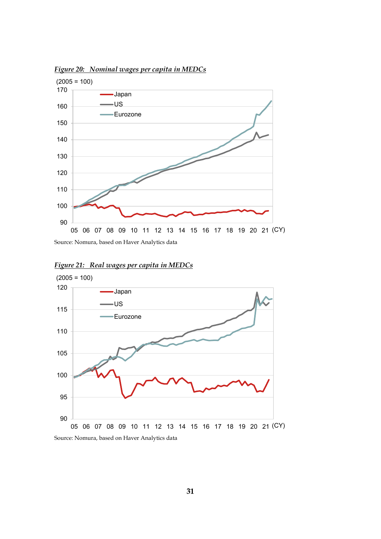

<span id="page-30-0"></span>*Figure 20: Nominal wages per capita in MEDCs*



<span id="page-30-1"></span>*Figure 21: Real wages per capita in MEDCs*

Source: Nomura, based on Haver Analytics data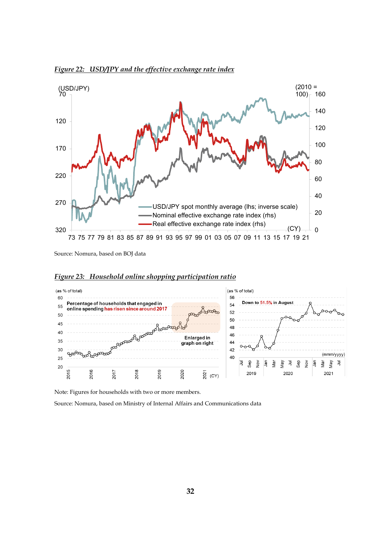<span id="page-31-0"></span>



Source: Nomura, based on BOJ data



<span id="page-31-1"></span>*Figure 23: Household online shopping participation ratio*

Note: Figures for households with two or more members.

Source: Nomura, based on Ministry of Internal Affairs and Communications data